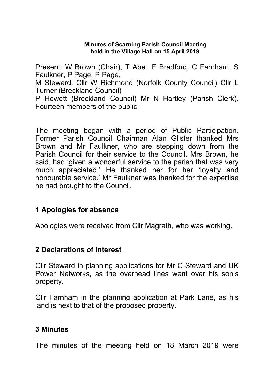#### **Minutes of Scarning Parish Council Meeting held in the Village Hall on 15 April 2019**

Present: W Brown (Chair), T Abel, F Bradford, C Farnham, S Faulkner, P Page, P Page,

M Steward. Cllr W Richmond (Norfolk County Council) Cllr L Turner (Breckland Council)

P Hewett (Breckland Council) Mr N Hartley (Parish Clerk). Fourteen members of the public.

The meeting began with a period of Public Participation. Former Parish Council Chairman Alan Glister thanked Mrs Brown and Mr Faulkner, who are stepping down from the Parish Council for their service to the Council. Mrs Brown, he said, had 'given a wonderful service to the parish that was very much appreciated.' He thanked her for her 'loyalty and honourable service.' Mr Faulkner was thanked for the expertise he had brought to the Council.

### **1 Apologies for absence**

Apologies were received from Cllr Magrath, who was working.

### **2 Declarations of Interest**

Cllr Steward in planning applications for Mr C Steward and UK Power Networks, as the overhead lines went over his son's property.

Cllr Farnham in the planning application at Park Lane, as his land is next to that of the proposed property.

### **3 Minutes**

The minutes of the meeting held on 18 March 2019 were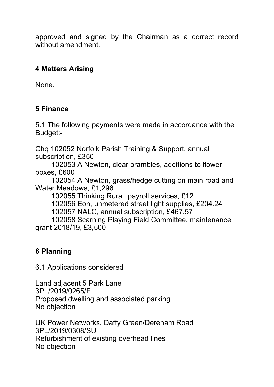approved and signed by the Chairman as a correct record without amendment.

# **4 Matters Arising**

None.

# **5 Finance**

5.1 The following payments were made in accordance with the Budget:-

Chq 102052 Norfolk Parish Training & Support, annual subscription, £350

 102053 A Newton, clear brambles, additions to flower boxes, £600

 102054 A Newton, grass/hedge cutting on main road and Water Meadows, £1,296

102055 Thinking Rural, payroll services, £12

102056 Eon, unmetered street light supplies, £204.24

102057 NALC, annual subscription, £467.57

 102058 Scarning Playing Field Committee, maintenance grant 2018/19, £3,500

# **6 Planning**

6.1 Applications considered

Land adjacent 5 Park Lane 3PL/2019/0265/F Proposed dwelling and associated parking No objection

UK Power Networks, Daffy Green/Dereham Road 3PL/2019/0308/SU Refurbishment of existing overhead lines No objection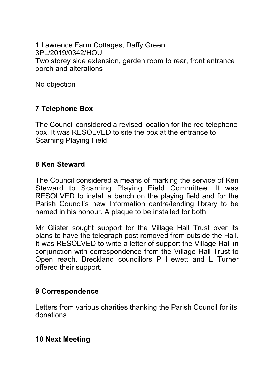1 Lawrence Farm Cottages, Daffy Green 3PL/2019/0342/HOU Two storey side extension, garden room to rear, front entrance porch and alterations

No objection

# **7 Telephone Box**

The Council considered a revised location for the red telephone box. It was RESOLVED to site the box at the entrance to Scarning Playing Field.

### **8 Ken Steward**

The Council considered a means of marking the service of Ken Steward to Scarning Playing Field Committee. It was RESOLVED to install a bench on the playing field and for the Parish Council's new Information centre/lending library to be named in his honour. A plaque to be installed for both.

Mr Glister sought support for the Village Hall Trust over its plans to have the telegraph post removed from outside the Hall. It was RESOLVED to write a letter of support the Village Hall in conjunction with correspondence from the Village Hall Trust to Open reach. Breckland councillors P Hewett and L Turner offered their support.

### **9 Correspondence**

Letters from various charities thanking the Parish Council for its donations.

### **10 Next Meeting**